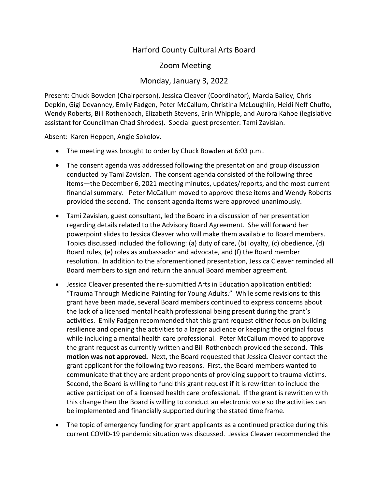## Harford County Cultural Arts Board

Zoom Meeting

## Monday, January 3, 2022

Present: Chuck Bowden (Chairperson), Jessica Cleaver (Coordinator), Marcia Bailey, Chris Depkin, Gigi Devanney, Emily Fadgen, Peter McCallum, Christina McLoughlin, Heidi Neff Chuffo, Wendy Roberts, Bill Rothenbach, Elizabeth Stevens, Erin Whipple, and Aurora Kahoe (legislative assistant for Councilman Chad Shrodes). Special guest presenter: Tami Zavislan.

Absent: Karen Heppen, Angie Sokolov.

- The meeting was brought to order by Chuck Bowden at 6:03 p.m..
- The consent agenda was addressed following the presentation and group discussion conducted by Tami Zavislan. The consent agenda consisted of the following three items—the December 6, 2021 meeting minutes, updates/reports, and the most current financial summary. Peter McCallum moved to approve these items and Wendy Roberts provided the second. The consent agenda items were approved unanimously.
- Tami Zavislan, guest consultant, led the Board in a discussion of her presentation regarding details related to the Advisory Board Agreement. She will forward her powerpoint slides to Jessica Cleaver who will make them available to Board members. Topics discussed included the following: (a) duty of care, (b) loyalty, (c) obedience, (d) Board rules, (e) roles as ambassador and advocate, and (f) the Board member resolution. In addition to the aforementioned presentation, Jessica Cleaver reminded all Board members to sign and return the annual Board member agreement.
- Jessica Cleaver presented the re-submitted Arts in Education application entitled: "Trauma Through Medicine Painting for Young Adults." While some revisions to this grant have been made, several Board members continued to express concerns about the lack of a licensed mental health professional being present during the grant's activities. Emily Fadgen recommended that this grant request either focus on building resilience and opening the activities to a larger audience or keeping the original focus while including a mental health care professional. Peter McCallum moved to approve the grant request as currently written and Bill Rothenbach provided the second. **This motion was not approved.** Next, the Board requested that Jessica Cleaver contact the grant applicant for the following two reasons. First, the Board members wanted to communicate that they are ardent proponents of providing support to trauma victims. Second, the Board is willing to fund this grant request **if** it is rewritten to include the active participation of a licensed health care professional**.** If the grant is rewritten with this change then the Board is willing to conduct an electronic vote so the activities can be implemented and financially supported during the stated time frame.
- The topic of emergency funding for grant applicants as a continued practice during this current COVID-19 pandemic situation was discussed. Jessica Cleaver recommended the